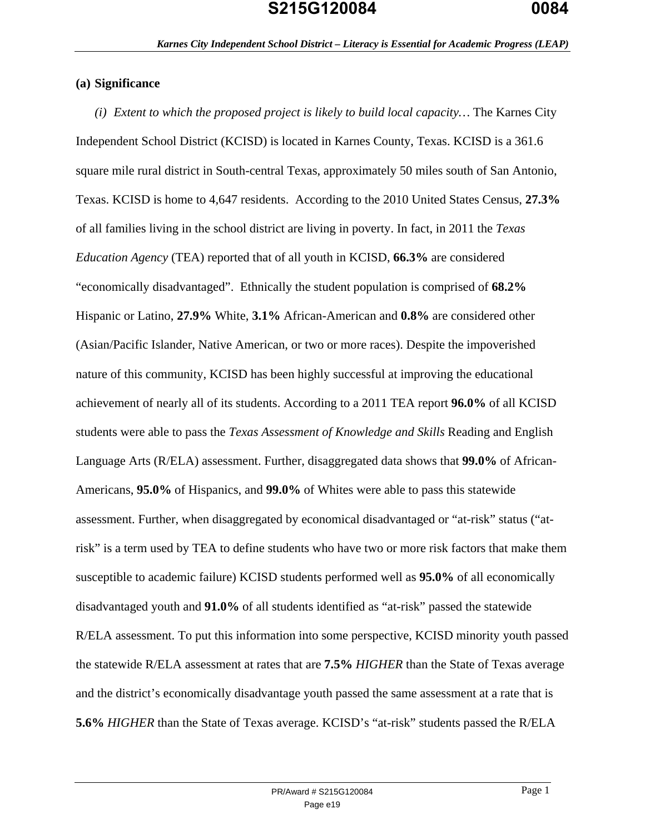### **(a) Significance**

*(i) Extent to which the proposed project is likely to build local capacity…* The Karnes City Independent School District (KCISD) is located in Karnes County, Texas. KCISD is a 361.6 square mile rural district in South-central Texas, approximately 50 miles south of San Antonio, Texas. KCISD is home to 4,647 residents. According to the 2010 United States Census, **27.3%** of all families living in the school district are living in poverty. In fact, in 2011 the *Texas Education Agency* (TEA) reported that of all youth in KCISD, **66.3%** are considered "economically disadvantaged". Ethnically the student population is comprised of **68.2%**  Hispanic or Latino, **27.9%** White, **3.1%** African-American and **0.8%** are considered other (Asian/Pacific Islander, Native American, or two or more races). Despite the impoverished nature of this community, KCISD has been highly successful at improving the educational achievement of nearly all of its students. According to a 2011 TEA report **96.0%** of all KCISD students were able to pass the *Texas Assessment of Knowledge and Skills* Reading and English Language Arts (R/ELA) assessment. Further, disaggregated data shows that **99.0%** of African-Americans, **95.0%** of Hispanics, and **99.0%** of Whites were able to pass this statewide assessment. Further, when disaggregated by economical disadvantaged or "at-risk" status ("atrisk" is a term used by TEA to define students who have two or more risk factors that make them susceptible to academic failure) KCISD students performed well as **95.0%** of all economically disadvantaged youth and **91.0%** of all students identified as "at-risk" passed the statewide R/ELA assessment. To put this information into some perspective, KCISD minority youth passed the statewide R/ELA assessment at rates that are **7.5%** *HIGHER* than the State of Texas average and the district's economically disadvantage youth passed the same assessment at a rate that is **5.6%** *HIGHER* than the State of Texas average. KCISD's "at-risk" students passed the R/ELA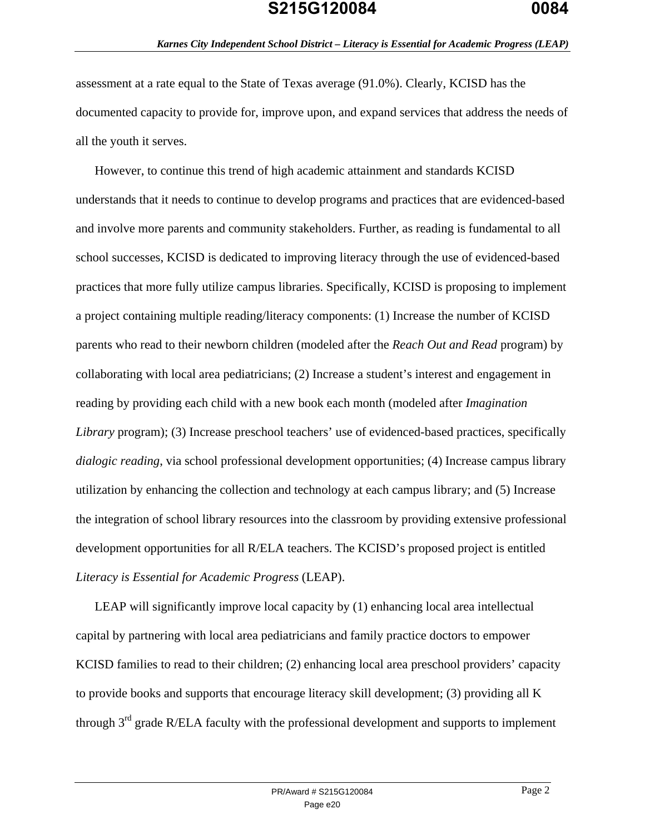assessment at a rate equal to the State of Texas average (91.0%). Clearly, KCISD has the documented capacity to provide for, improve upon, and expand services that address the needs of all the youth it serves.

However, to continue this trend of high academic attainment and standards KCISD understands that it needs to continue to develop programs and practices that are evidenced-based and involve more parents and community stakeholders. Further, as reading is fundamental to all school successes, KCISD is dedicated to improving literacy through the use of evidenced-based practices that more fully utilize campus libraries. Specifically, KCISD is proposing to implement a project containing multiple reading/literacy components: (1) Increase the number of KCISD parents who read to their newborn children (modeled after the *Reach Out and Read* program) by collaborating with local area pediatricians; (2) Increase a student's interest and engagement in reading by providing each child with a new book each month (modeled after *Imagination Library* program); (3) Increase preschool teachers' use of evidenced-based practices, specifically *dialogic reading*, via school professional development opportunities; (4) Increase campus library utilization by enhancing the collection and technology at each campus library; and (5) Increase the integration of school library resources into the classroom by providing extensive professional development opportunities for all R/ELA teachers. The KCISD's proposed project is entitled *Literacy is Essential for Academic Progress* (LEAP).

LEAP will significantly improve local capacity by (1) enhancing local area intellectual capital by partnering with local area pediatricians and family practice doctors to empower KCISD families to read to their children; (2) enhancing local area preschool providers' capacity to provide books and supports that encourage literacy skill development; (3) providing all K through  $3<sup>rd</sup>$  grade R/ELA faculty with the professional development and supports to implement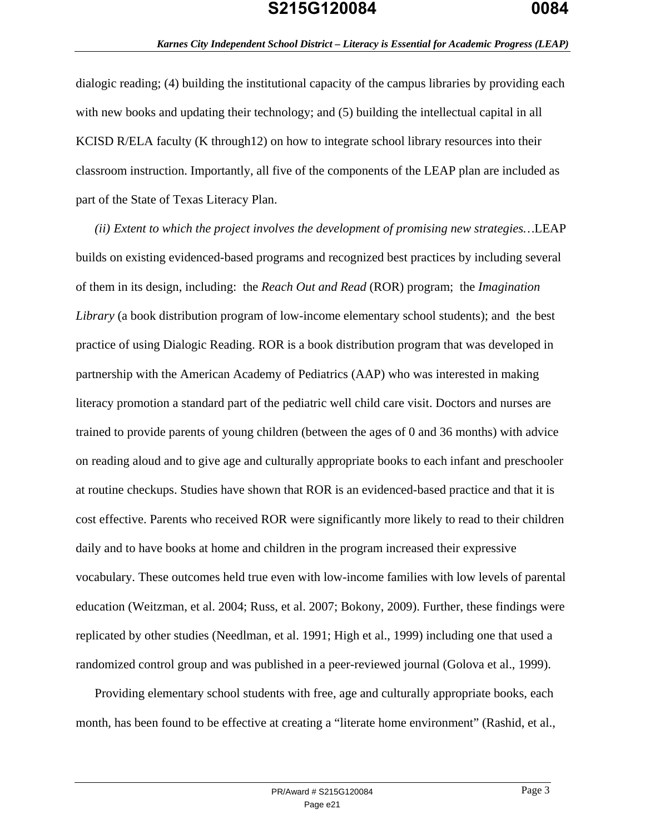dialogic reading; (4) building the institutional capacity of the campus libraries by providing each with new books and updating their technology; and  $(5)$  building the intellectual capital in all KCISD R/ELA faculty (K through12) on how to integrate school library resources into their classroom instruction. Importantly, all five of the components of the LEAP plan are included as part of the State of Texas Literacy Plan.

*(ii) Extent to which the project involves the development of promising new strategies…*LEAP builds on existing evidenced-based programs and recognized best practices by including several of them in its design, including: the *Reach Out and Read* (ROR) program; the *Imagination Library* (a book distribution program of low-income elementary school students); and the best practice of using Dialogic Reading. ROR is a book distribution program that was developed in partnership with the American Academy of Pediatrics (AAP) who was interested in making literacy promotion a standard part of the pediatric well child care visit. Doctors and nurses are trained to provide parents of young children (between the ages of 0 and 36 months) with advice on reading aloud and to give age and culturally appropriate books to each infant and preschooler at routine checkups. Studies have shown that ROR is an evidenced-based practice and that it is cost effective. Parents who received ROR were significantly more likely to read to their children daily and to have books at home and children in the program increased their expressive vocabulary. These outcomes held true even with low-income families with low levels of parental education (Weitzman, et al. 2004; Russ, et al. 2007; Bokony, 2009). Further, these findings were replicated by other studies (Needlman, et al. 1991; High et al., 1999) including one that used a randomized control group and was published in a peer-reviewed journal (Golova et al., 1999).

Providing elementary school students with free, age and culturally appropriate books, each month, has been found to be effective at creating a "literate home environment" (Rashid, et al.,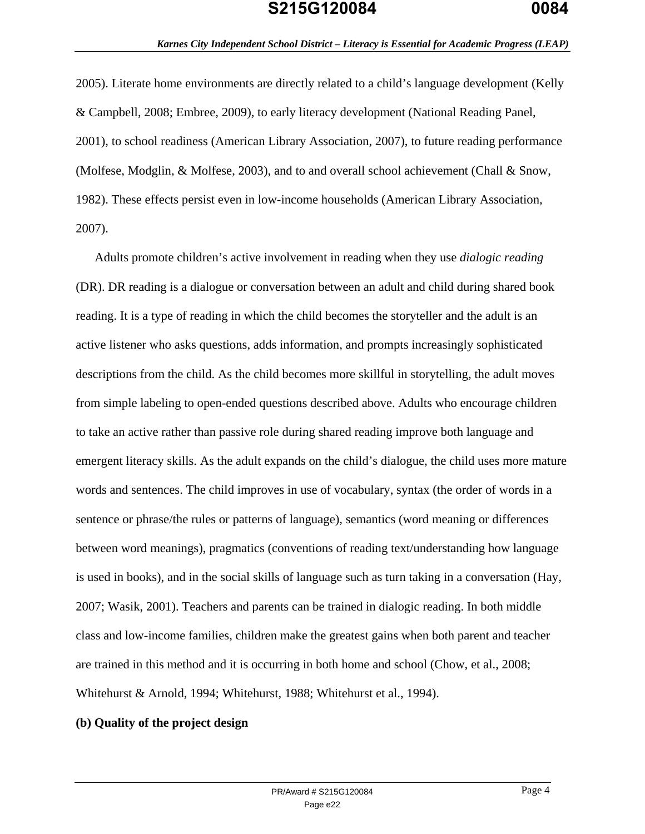2005). Literate home environments are directly related to a child's language development (Kelly & Campbell, 2008; Embree, 2009), to early literacy development (National Reading Panel, 2001), to school readiness (American Library Association, 2007), to future reading performance (Molfese, Modglin, & Molfese, 2003), and to and overall school achievement (Chall & Snow, 1982). These effects persist even in low-income households (American Library Association, 2007).

Adults promote children's active involvement in reading when they use *dialogic reading* (DR). DR reading is a dialogue or conversation between an adult and child during shared book reading. It is a type of reading in which the child becomes the storyteller and the adult is an active listener who asks questions, adds information, and prompts increasingly sophisticated descriptions from the child. As the child becomes more skillful in storytelling, the adult moves from simple labeling to open-ended questions described above. Adults who encourage children to take an active rather than passive role during shared reading improve both language and emergent literacy skills. As the adult expands on the child's dialogue, the child uses more mature words and sentences. The child improves in use of vocabulary, syntax (the order of words in a sentence or phrase/the rules or patterns of language), semantics (word meaning or differences between word meanings), pragmatics (conventions of reading text/understanding how language is used in books), and in the social skills of language such as turn taking in a conversation (Hay, 2007; Wasik, 2001). Teachers and parents can be trained in dialogic reading. In both middle class and low-income families, children make the greatest gains when both parent and teacher are trained in this method and it is occurring in both home and school (Chow, et al., 2008; Whitehurst & Arnold, 1994; Whitehurst, 1988; Whitehurst et al., 1994).

#### **(b) Quality of the project design**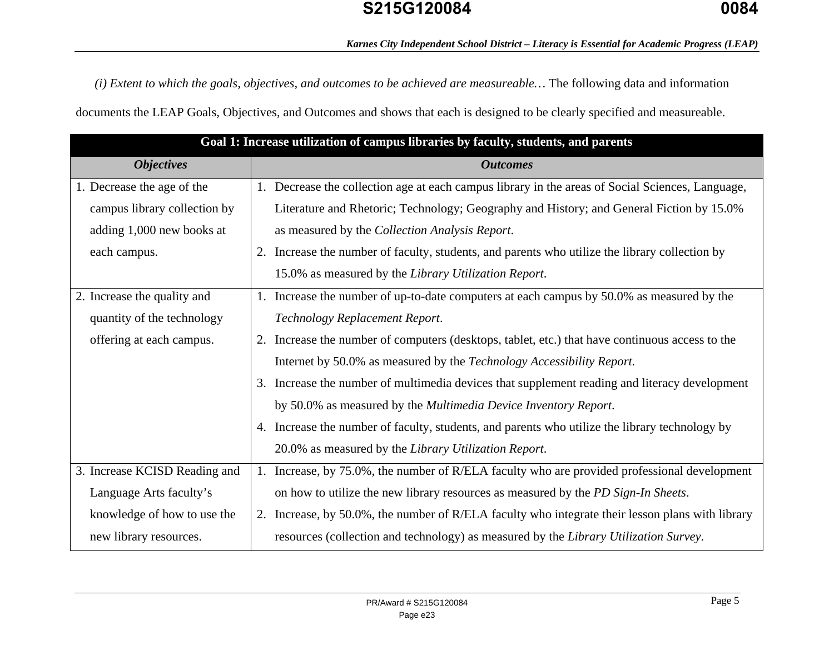*(i) Extent to which the goals, objectives, and outcomes to be achieved are measureable…* The following data and information documents the LEAP Goals, Objectives, and Outcomes and shows that each is designed to be clearly specified and measureable.

| Goal 1: Increase utilization of campus libraries by faculty, students, and parents |                                                                                                  |  |  |  |
|------------------------------------------------------------------------------------|--------------------------------------------------------------------------------------------------|--|--|--|
| <b>Objectives</b>                                                                  | <b>Outcomes</b>                                                                                  |  |  |  |
| 1. Decrease the age of the                                                         | 1. Decrease the collection age at each campus library in the areas of Social Sciences, Language, |  |  |  |
| campus library collection by                                                       | Literature and Rhetoric; Technology; Geography and History; and General Fiction by 15.0%         |  |  |  |
| adding 1,000 new books at                                                          | as measured by the Collection Analysis Report.                                                   |  |  |  |
| each campus.                                                                       | Increase the number of faculty, students, and parents who utilize the library collection by      |  |  |  |
|                                                                                    | 15.0% as measured by the Library Utilization Report.                                             |  |  |  |
| 2. Increase the quality and                                                        | 1. Increase the number of up-to-date computers at each campus by 50.0% as measured by the        |  |  |  |
| quantity of the technology                                                         | Technology Replacement Report.                                                                   |  |  |  |
| offering at each campus.                                                           | 2. Increase the number of computers (desktops, tablet, etc.) that have continuous access to the  |  |  |  |
|                                                                                    | Internet by 50.0% as measured by the Technology Accessibility Report.                            |  |  |  |
|                                                                                    | 3. Increase the number of multimedia devices that supplement reading and literacy development    |  |  |  |
|                                                                                    | by 50.0% as measured by the Multimedia Device Inventory Report.                                  |  |  |  |
|                                                                                    | 4. Increase the number of faculty, students, and parents who utilize the library technology by   |  |  |  |
|                                                                                    | 20.0% as measured by the Library Utilization Report.                                             |  |  |  |
| 3. Increase KCISD Reading and                                                      | 1. Increase, by 75.0%, the number of R/ELA faculty who are provided professional development     |  |  |  |
| Language Arts faculty's                                                            | on how to utilize the new library resources as measured by the PD Sign-In Sheets.                |  |  |  |
| knowledge of how to use the                                                        | 2. Increase, by 50.0%, the number of R/ELA faculty who integrate their lesson plans with library |  |  |  |
| new library resources.                                                             | resources (collection and technology) as measured by the Library Utilization Survey.             |  |  |  |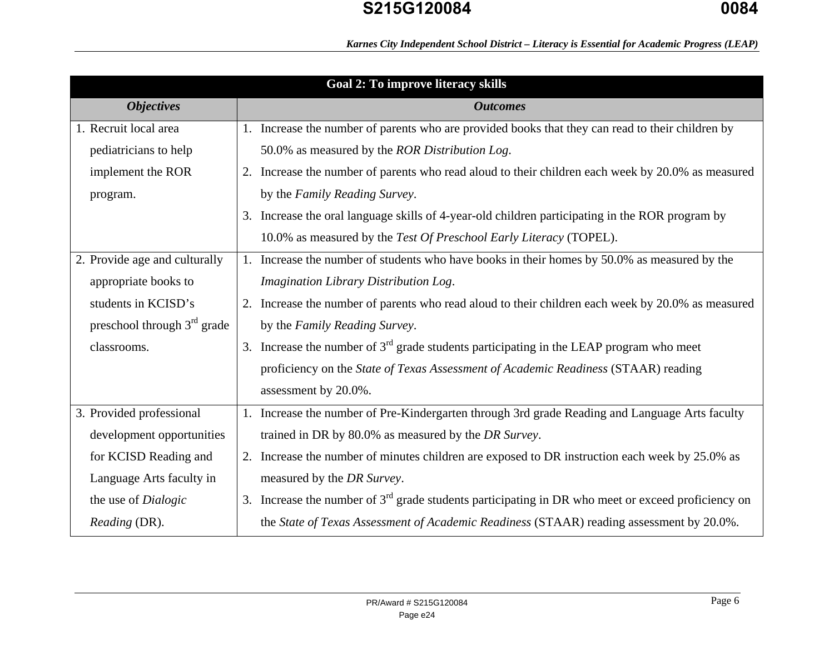*Karnes City Independent School District – Literacy is Essential for Academic Progress (LEAP)* 

| Goal 2: To improve literacy skills |                                                                                                      |  |  |  |
|------------------------------------|------------------------------------------------------------------------------------------------------|--|--|--|
| <b>Objectives</b>                  | <b>Outcomes</b>                                                                                      |  |  |  |
| 1. Recruit local area              | 1. Increase the number of parents who are provided books that they can read to their children by     |  |  |  |
| pediatricians to help              | 50.0% as measured by the ROR Distribution Log.                                                       |  |  |  |
| implement the ROR                  | 2. Increase the number of parents who read aloud to their children each week by 20.0% as measured    |  |  |  |
| program.                           | by the Family Reading Survey.                                                                        |  |  |  |
|                                    | 3. Increase the oral language skills of 4-year-old children participating in the ROR program by      |  |  |  |
|                                    | 10.0% as measured by the Test Of Preschool Early Literacy (TOPEL).                                   |  |  |  |
| 2. Provide age and culturally      | 1. Increase the number of students who have books in their homes by 50.0% as measured by the         |  |  |  |
| appropriate books to               | Imagination Library Distribution Log.                                                                |  |  |  |
| students in KCISD's                | 2. Increase the number of parents who read aloud to their children each week by 20.0% as measured    |  |  |  |
| preschool through $3rd$ grade      | by the Family Reading Survey.                                                                        |  |  |  |
| classrooms.                        | 3. Increase the number of $3rd$ grade students participating in the LEAP program who meet            |  |  |  |
|                                    | proficiency on the State of Texas Assessment of Academic Readiness (STAAR) reading                   |  |  |  |
|                                    | assessment by 20.0%.                                                                                 |  |  |  |
| 3. Provided professional           | Increase the number of Pre-Kindergarten through 3rd grade Reading and Language Arts faculty          |  |  |  |
| development opportunities          | trained in DR by 80.0% as measured by the DR Survey.                                                 |  |  |  |
| for KCISD Reading and              | 2. Increase the number of minutes children are exposed to DR instruction each week by 25.0% as       |  |  |  |
| Language Arts faculty in           | measured by the DR Survey.                                                                           |  |  |  |
| the use of Dialogic                | 3. Increase the number of $3rd$ grade students participating in DR who meet or exceed proficiency on |  |  |  |
| Reading (DR).                      | the State of Texas Assessment of Academic Readiness (STAAR) reading assessment by 20.0%.             |  |  |  |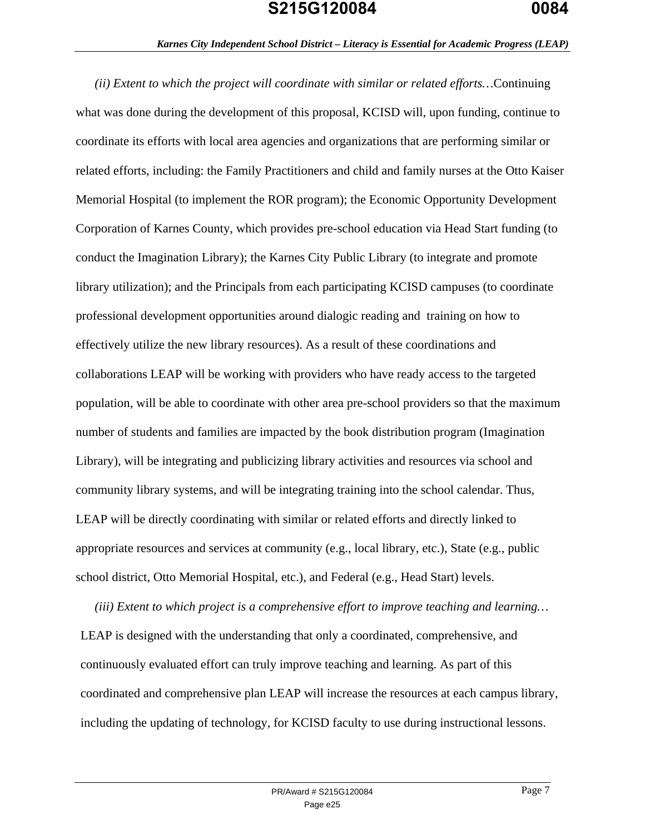### *Karnes City Independent School District – Literacy is Essential for Academic Progress (LEAP)*

*(ii) Extent to which the project will coordinate with similar or related efforts…*Continuing what was done during the development of this proposal, KCISD will, upon funding, continue to coordinate its efforts with local area agencies and organizations that are performing similar or related efforts, including: the Family Practitioners and child and family nurses at the Otto Kaiser Memorial Hospital (to implement the ROR program); the Economic Opportunity Development Corporation of Karnes County, which provides pre-school education via Head Start funding (to conduct the Imagination Library); the Karnes City Public Library (to integrate and promote library utilization); and the Principals from each participating KCISD campuses (to coordinate professional development opportunities around dialogic reading and training on how to effectively utilize the new library resources). As a result of these coordinations and collaborations LEAP will be working with providers who have ready access to the targeted population, will be able to coordinate with other area pre-school providers so that the maximum number of students and families are impacted by the book distribution program (Imagination Library), will be integrating and publicizing library activities and resources via school and community library systems, and will be integrating training into the school calendar. Thus, LEAP will be directly coordinating with similar or related efforts and directly linked to appropriate resources and services at community (e.g., local library, etc.), State (e.g., public school district, Otto Memorial Hospital, etc.), and Federal (e.g., Head Start) levels.

*(iii) Extent to which project is a comprehensive effort to improve teaching and learning…* LEAP is designed with the understanding that only a coordinated, comprehensive, and continuously evaluated effort can truly improve teaching and learning. As part of this coordinated and comprehensive plan LEAP will increase the resources at each campus library, including the updating of technology, for KCISD faculty to use during instructional lessons.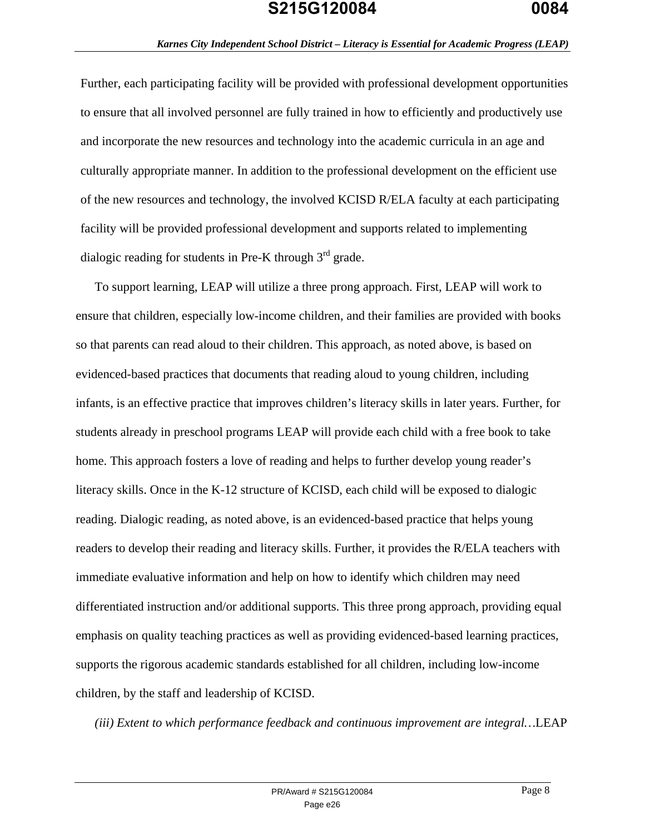#### *Karnes City Independent School District – Literacy is Essential for Academic Progress (LEAP)*

Further, each participating facility will be provided with professional development opportunities to ensure that all involved personnel are fully trained in how to efficiently and productively use and incorporate the new resources and technology into the academic curricula in an age and culturally appropriate manner. In addition to the professional development on the efficient use of the new resources and technology, the involved KCISD R/ELA faculty at each participating facility will be provided professional development and supports related to implementing dialogic reading for students in Pre-K through  $3<sup>rd</sup>$  grade.

To support learning, LEAP will utilize a three prong approach. First, LEAP will work to ensure that children, especially low-income children, and their families are provided with books so that parents can read aloud to their children. This approach, as noted above, is based on evidenced-based practices that documents that reading aloud to young children, including infants, is an effective practice that improves children's literacy skills in later years. Further, for students already in preschool programs LEAP will provide each child with a free book to take home. This approach fosters a love of reading and helps to further develop young reader's literacy skills. Once in the K-12 structure of KCISD, each child will be exposed to dialogic reading. Dialogic reading, as noted above, is an evidenced-based practice that helps young readers to develop their reading and literacy skills. Further, it provides the R/ELA teachers with immediate evaluative information and help on how to identify which children may need differentiated instruction and/or additional supports. This three prong approach, providing equal emphasis on quality teaching practices as well as providing evidenced-based learning practices, supports the rigorous academic standards established for all children, including low-income children, by the staff and leadership of KCISD.

*(iii) Extent to which performance feedback and continuous improvement are integral…*LEAP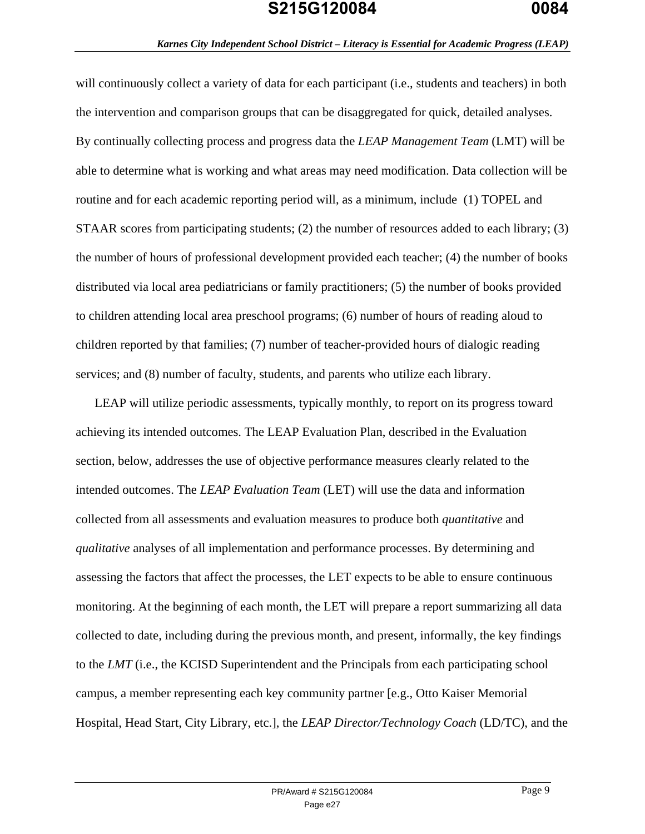#### *Karnes City Independent School District – Literacy is Essential for Academic Progress (LEAP)*

will continuously collect a variety of data for each participant (i.e., students and teachers) in both the intervention and comparison groups that can be disaggregated for quick, detailed analyses. By continually collecting process and progress data the *LEAP Management Team* (LMT) will be able to determine what is working and what areas may need modification. Data collection will be routine and for each academic reporting period will, as a minimum, include (1) TOPEL and STAAR scores from participating students; (2) the number of resources added to each library; (3) the number of hours of professional development provided each teacher; (4) the number of books distributed via local area pediatricians or family practitioners; (5) the number of books provided to children attending local area preschool programs; (6) number of hours of reading aloud to children reported by that families; (7) number of teacher-provided hours of dialogic reading services; and (8) number of faculty, students, and parents who utilize each library.

LEAP will utilize periodic assessments, typically monthly, to report on its progress toward achieving its intended outcomes. The LEAP Evaluation Plan, described in the Evaluation section, below, addresses the use of objective performance measures clearly related to the intended outcomes. The *LEAP Evaluation Team* (LET) will use the data and information collected from all assessments and evaluation measures to produce both *quantitative* and *qualitative* analyses of all implementation and performance processes. By determining and assessing the factors that affect the processes, the LET expects to be able to ensure continuous monitoring. At the beginning of each month, the LET will prepare a report summarizing all data collected to date, including during the previous month, and present, informally, the key findings to the *LMT* (i.e., the KCISD Superintendent and the Principals from each participating school campus, a member representing each key community partner [e.g., Otto Kaiser Memorial Hospital, Head Start, City Library, etc.], the *LEAP Director/Technology Coach* (LD/TC), and the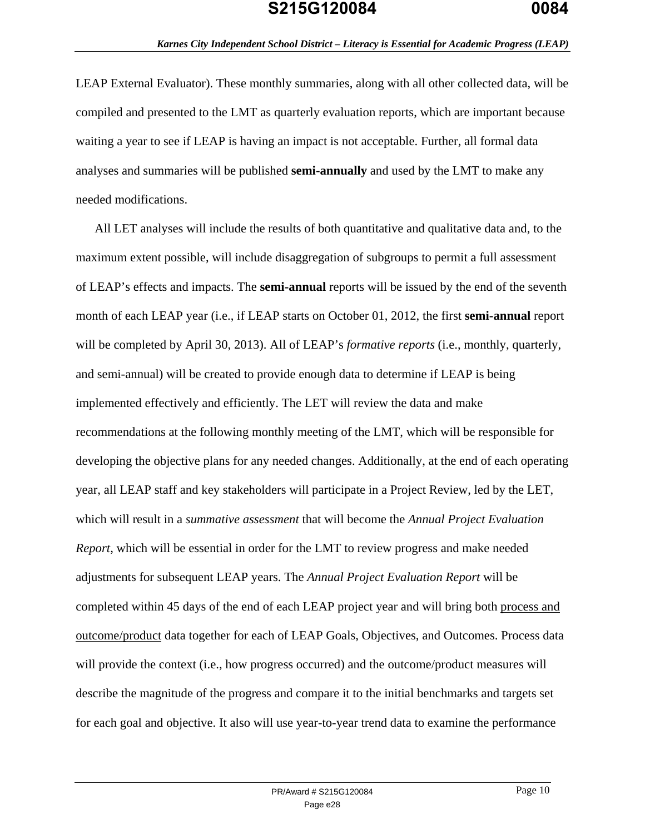LEAP External Evaluator). These monthly summaries, along with all other collected data, will be compiled and presented to the LMT as quarterly evaluation reports, which are important because waiting a year to see if LEAP is having an impact is not acceptable. Further, all formal data analyses and summaries will be published **semi-annually** and used by the LMT to make any needed modifications.

All LET analyses will include the results of both quantitative and qualitative data and, to the maximum extent possible, will include disaggregation of subgroups to permit a full assessment of LEAP's effects and impacts. The **semi-annual** reports will be issued by the end of the seventh month of each LEAP year (i.e., if LEAP starts on October 01, 2012, the first **semi-annual** report will be completed by April 30, 2013). All of LEAP's *formative reports* (i.e., monthly, quarterly, and semi-annual) will be created to provide enough data to determine if LEAP is being implemented effectively and efficiently. The LET will review the data and make recommendations at the following monthly meeting of the LMT, which will be responsible for developing the objective plans for any needed changes. Additionally, at the end of each operating year, all LEAP staff and key stakeholders will participate in a Project Review, led by the LET, which will result in a *summative assessment* that will become the *Annual Project Evaluation Report*, which will be essential in order for the LMT to review progress and make needed adjustments for subsequent LEAP years. The *Annual Project Evaluation Report* will be completed within 45 days of the end of each LEAP project year and will bring both process and outcome/product data together for each of LEAP Goals, Objectives, and Outcomes. Process data will provide the context (i.e., how progress occurred) and the outcome/product measures will describe the magnitude of the progress and compare it to the initial benchmarks and targets set for each goal and objective. It also will use year-to-year trend data to examine the performance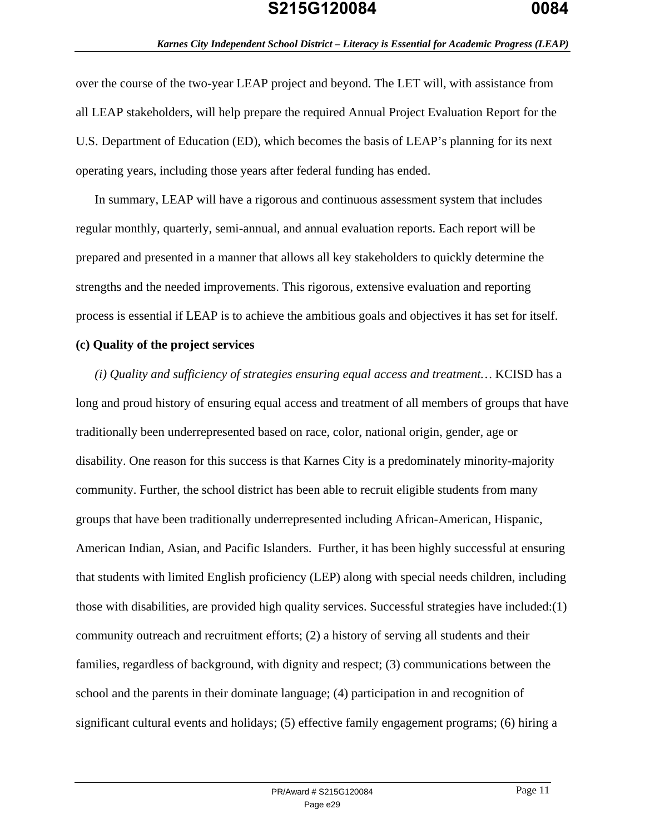over the course of the two-year LEAP project and beyond. The LET will, with assistance from all LEAP stakeholders, will help prepare the required Annual Project Evaluation Report for the U.S. Department of Education (ED), which becomes the basis of LEAP's planning for its next operating years, including those years after federal funding has ended.

In summary, LEAP will have a rigorous and continuous assessment system that includes regular monthly, quarterly, semi-annual, and annual evaluation reports. Each report will be prepared and presented in a manner that allows all key stakeholders to quickly determine the strengths and the needed improvements. This rigorous, extensive evaluation and reporting process is essential if LEAP is to achieve the ambitious goals and objectives it has set for itself.

#### **(c) Quality of the project services**

*(i) Quality and sufficiency of strategies ensuring equal access and treatment…* KCISD has a long and proud history of ensuring equal access and treatment of all members of groups that have traditionally been underrepresented based on race, color, national origin, gender, age or disability. One reason for this success is that Karnes City is a predominately minority-majority community. Further, the school district has been able to recruit eligible students from many groups that have been traditionally underrepresented including African-American, Hispanic, American Indian, Asian, and Pacific Islanders. Further, it has been highly successful at ensuring that students with limited English proficiency (LEP) along with special needs children, including those with disabilities, are provided high quality services. Successful strategies have included:(1) community outreach and recruitment efforts; (2) a history of serving all students and their families, regardless of background, with dignity and respect; (3) communications between the school and the parents in their dominate language; (4) participation in and recognition of significant cultural events and holidays; (5) effective family engagement programs; (6) hiring a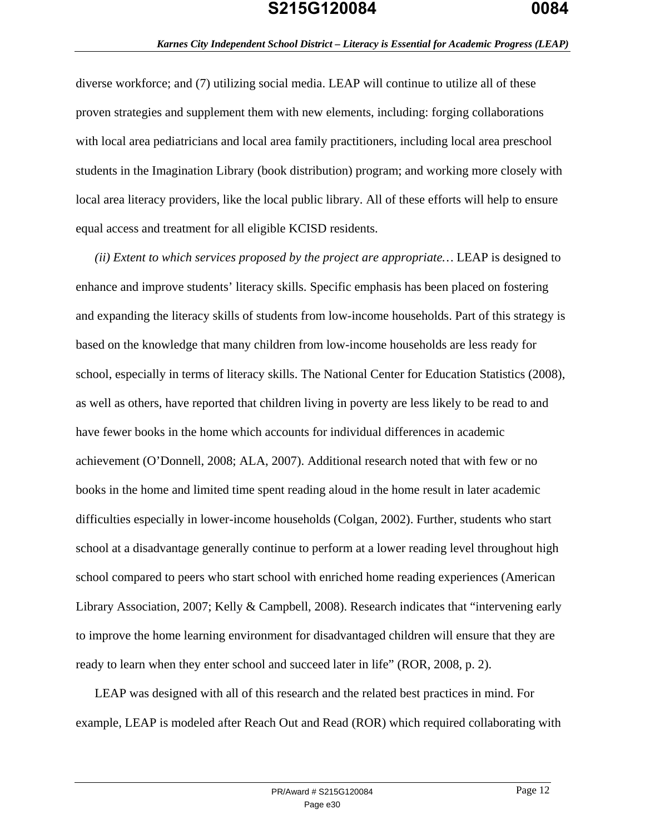diverse workforce; and (7) utilizing social media. LEAP will continue to utilize all of these proven strategies and supplement them with new elements, including: forging collaborations with local area pediatricians and local area family practitioners, including local area preschool students in the Imagination Library (book distribution) program; and working more closely with local area literacy providers, like the local public library. All of these efforts will help to ensure equal access and treatment for all eligible KCISD residents.

*(ii) Extent to which services proposed by the project are appropriate…* LEAP is designed to enhance and improve students' literacy skills. Specific emphasis has been placed on fostering and expanding the literacy skills of students from low-income households. Part of this strategy is based on the knowledge that many children from low-income households are less ready for school, especially in terms of literacy skills. The National Center for Education Statistics (2008), as well as others, have reported that children living in poverty are less likely to be read to and have fewer books in the home which accounts for individual differences in academic achievement (O'Donnell, 2008; ALA, 2007). Additional research noted that with few or no books in the home and limited time spent reading aloud in the home result in later academic difficulties especially in lower-income households (Colgan, 2002). Further, students who start school at a disadvantage generally continue to perform at a lower reading level throughout high school compared to peers who start school with enriched home reading experiences (American Library Association, 2007; Kelly & Campbell, 2008). Research indicates that "intervening early to improve the home learning environment for disadvantaged children will ensure that they are ready to learn when they enter school and succeed later in life" (ROR, 2008, p. 2).

LEAP was designed with all of this research and the related best practices in mind. For example, LEAP is modeled after Reach Out and Read (ROR) which required collaborating with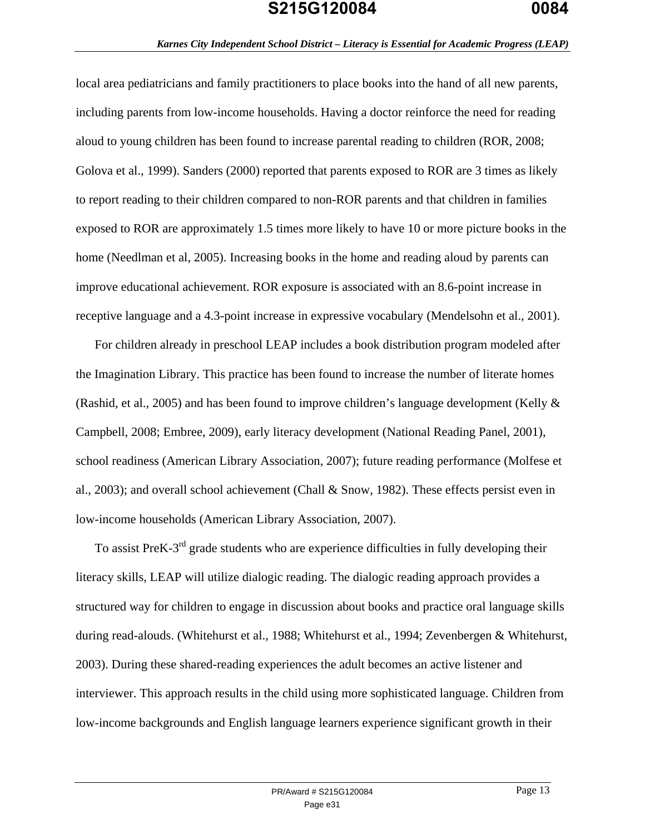local area pediatricians and family practitioners to place books into the hand of all new parents, including parents from low-income households. Having a doctor reinforce the need for reading aloud to young children has been found to increase parental reading to children (ROR, 2008; Golova et al., 1999). Sanders (2000) reported that parents exposed to ROR are 3 times as likely to report reading to their children compared to non-ROR parents and that children in families exposed to ROR are approximately 1.5 times more likely to have 10 or more picture books in the home (Needlman et al, 2005). Increasing books in the home and reading aloud by parents can improve educational achievement. ROR exposure is associated with an 8.6-point increase in receptive language and a 4.3-point increase in expressive vocabulary (Mendelsohn et al., 2001).

For children already in preschool LEAP includes a book distribution program modeled after the Imagination Library. This practice has been found to increase the number of literate homes (Rashid, et al., 2005) and has been found to improve children's language development (Kelly & Campbell, 2008; Embree, 2009), early literacy development (National Reading Panel, 2001), school readiness (American Library Association, 2007); future reading performance (Molfese et al., 2003); and overall school achievement (Chall & Snow, 1982). These effects persist even in low-income households (American Library Association, 2007).

To assist PreK-3<sup>rd</sup> grade students who are experience difficulties in fully developing their literacy skills, LEAP will utilize dialogic reading. The dialogic reading approach provides a structured way for children to engage in discussion about books and practice oral language skills during read-alouds. (Whitehurst et al., 1988; Whitehurst et al., 1994; Zevenbergen & Whitehurst, 2003). During these shared-reading experiences the adult becomes an active listener and interviewer. This approach results in the child using more sophisticated language. Children from low-income backgrounds and English language learners experience significant growth in their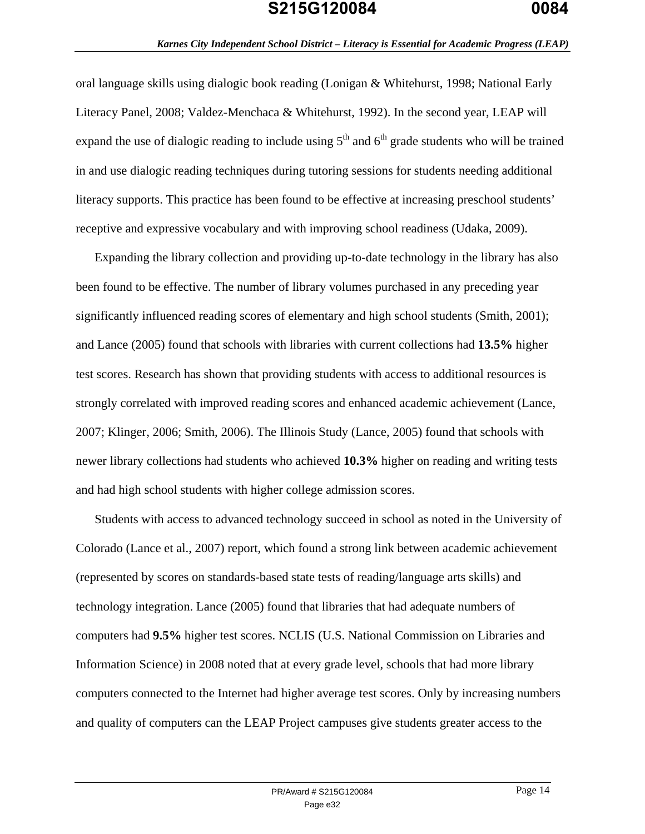#### *Karnes City Independent School District – Literacy is Essential for Academic Progress (LEAP)*

oral language skills using dialogic book reading (Lonigan & Whitehurst, 1998; National Early Literacy Panel, 2008; Valdez-Menchaca & Whitehurst, 1992). In the second year, LEAP will expand the use of dialogic reading to include using  $5<sup>th</sup>$  and  $6<sup>th</sup>$  grade students who will be trained in and use dialogic reading techniques during tutoring sessions for students needing additional literacy supports. This practice has been found to be effective at increasing preschool students' receptive and expressive vocabulary and with improving school readiness (Udaka, 2009).

Expanding the library collection and providing up-to-date technology in the library has also been found to be effective. The number of library volumes purchased in any preceding year significantly influenced reading scores of elementary and high school students (Smith, 2001); and Lance (2005) found that schools with libraries with current collections had **13.5%** higher test scores. Research has shown that providing students with access to additional resources is strongly correlated with improved reading scores and enhanced academic achievement (Lance, 2007; Klinger, 2006; Smith, 2006). The Illinois Study (Lance, 2005) found that schools with newer library collections had students who achieved **10.3%** higher on reading and writing tests and had high school students with higher college admission scores.

Students with access to advanced technology succeed in school as noted in the University of Colorado (Lance et al., 2007) report, which found a strong link between academic achievement (represented by scores on standards-based state tests of reading/language arts skills) and technology integration. Lance (2005) found that libraries that had adequate numbers of computers had **9.5%** higher test scores. NCLIS (U.S. National Commission on Libraries and Information Science) in 2008 noted that at every grade level, schools that had more library computers connected to the Internet had higher average test scores. Only by increasing numbers and quality of computers can the LEAP Project campuses give students greater access to the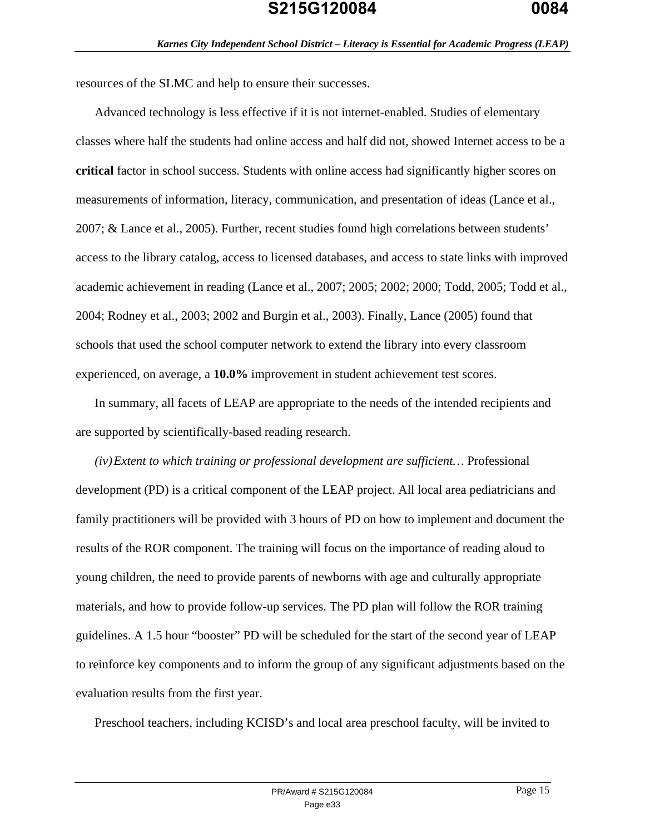resources of the SLMC and help to ensure their successes.

Advanced technology is less effective if it is not internet-enabled. Studies of elementary classes where half the students had online access and half did not, showed Internet access to be a **critical** factor in school success. Students with online access had significantly higher scores on measurements of information, literacy, communication, and presentation of ideas (Lance et al., 2007; & Lance et al., 2005). Further, recent studies found high correlations between students' access to the library catalog, access to licensed databases, and access to state links with improved academic achievement in reading (Lance et al., 2007; 2005; 2002; 2000; Todd, 2005; Todd et al., 2004; Rodney et al., 2003; 2002 and Burgin et al., 2003). Finally, Lance (2005) found that schools that used the school computer network to extend the library into every classroom experienced, on average, a **10.0%** improvement in student achievement test scores.

In summary, all facets of LEAP are appropriate to the needs of the intended recipients and are supported by scientifically-based reading research.

*(iv)Extent to which training or professional development are sufficient…* Professional development (PD) is a critical component of the LEAP project. All local area pediatricians and family practitioners will be provided with 3 hours of PD on how to implement and document the results of the ROR component. The training will focus on the importance of reading aloud to young children, the need to provide parents of newborns with age and culturally appropriate materials, and how to provide follow-up services. The PD plan will follow the ROR training guidelines. A 1.5 hour "booster" PD will be scheduled for the start of the second year of LEAP to reinforce key components and to inform the group of any significant adjustments based on the evaluation results from the first year.

Preschool teachers, including KCISD's and local area preschool faculty, will be invited to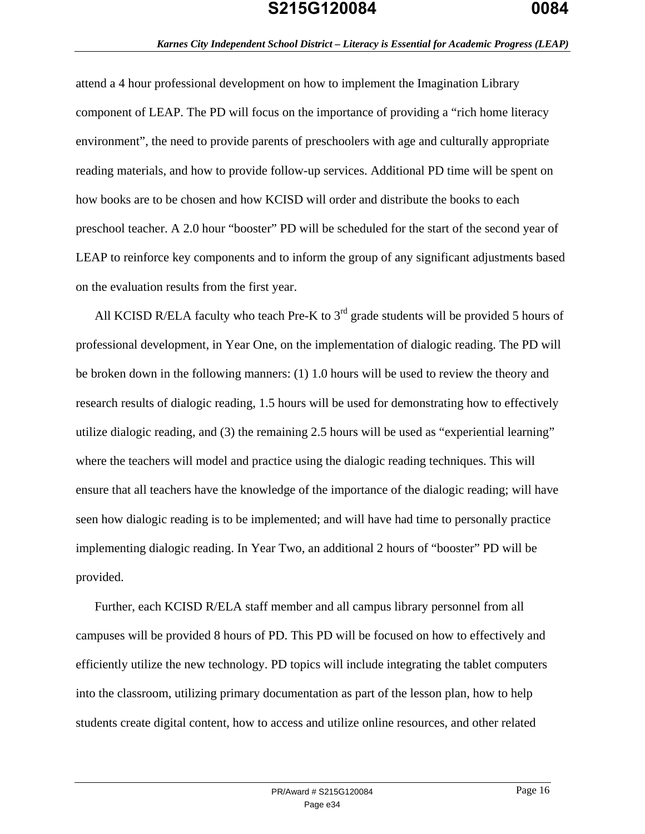#### *Karnes City Independent School District – Literacy is Essential for Academic Progress (LEAP)*

attend a 4 hour professional development on how to implement the Imagination Library component of LEAP. The PD will focus on the importance of providing a "rich home literacy environment", the need to provide parents of preschoolers with age and culturally appropriate reading materials, and how to provide follow-up services. Additional PD time will be spent on how books are to be chosen and how KCISD will order and distribute the books to each preschool teacher. A 2.0 hour "booster" PD will be scheduled for the start of the second year of LEAP to reinforce key components and to inform the group of any significant adjustments based on the evaluation results from the first year.

All KCISD R/ELA faculty who teach Pre-K to  $3<sup>rd</sup>$  grade students will be provided 5 hours of professional development, in Year One, on the implementation of dialogic reading. The PD will be broken down in the following manners: (1) 1.0 hours will be used to review the theory and research results of dialogic reading, 1.5 hours will be used for demonstrating how to effectively utilize dialogic reading, and (3) the remaining 2.5 hours will be used as "experiential learning" where the teachers will model and practice using the dialogic reading techniques. This will ensure that all teachers have the knowledge of the importance of the dialogic reading; will have seen how dialogic reading is to be implemented; and will have had time to personally practice implementing dialogic reading. In Year Two, an additional 2 hours of "booster" PD will be provided.

Further, each KCISD R/ELA staff member and all campus library personnel from all campuses will be provided 8 hours of PD. This PD will be focused on how to effectively and efficiently utilize the new technology. PD topics will include integrating the tablet computers into the classroom, utilizing primary documentation as part of the lesson plan, how to help students create digital content, how to access and utilize online resources, and other related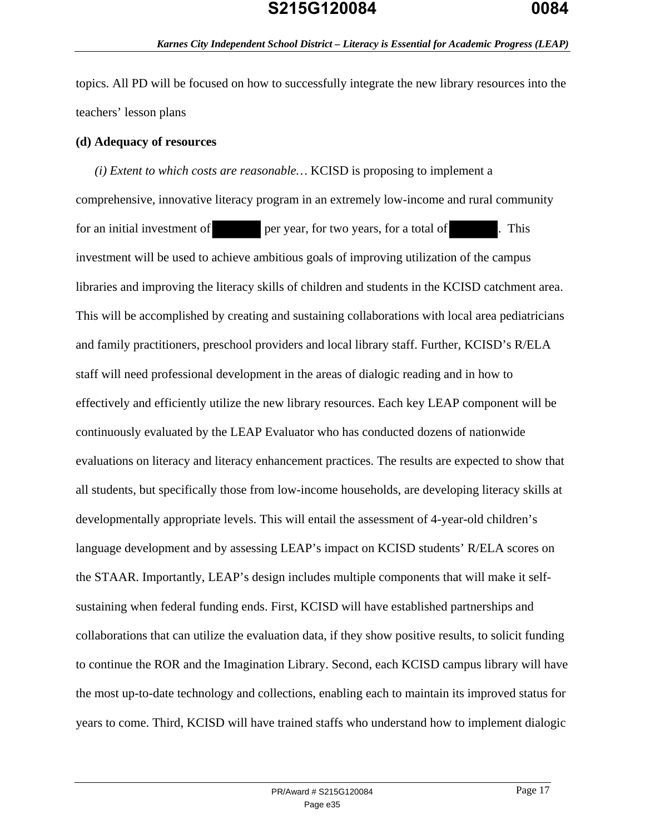topics. All PD will be focused on how to successfully integrate the new library resources into the teachers' lesson plans

#### **(d) Adequacy of resources**

*(i) Extent to which costs are reasonable…* KCISD is proposing to implement a comprehensive, innovative literacy program in an extremely low-income and rural community for an initial investment of per year, for two years, for a total of . This investment will be used to achieve ambitious goals of improving utilization of the campus libraries and improving the literacy skills of children and students in the KCISD catchment area. This will be accomplished by creating and sustaining collaborations with local area pediatricians and family practitioners, preschool providers and local library staff. Further, KCISD's R/ELA staff will need professional development in the areas of dialogic reading and in how to effectively and efficiently utilize the new library resources. Each key LEAP component will be continuously evaluated by the LEAP Evaluator who has conducted dozens of nationwide evaluations on literacy and literacy enhancement practices. The results are expected to show that all students, but specifically those from low-income households, are developing literacy skills at developmentally appropriate levels. This will entail the assessment of 4-year-old children's language development and by assessing LEAP's impact on KCISD students' R/ELA scores on the STAAR. Importantly, LEAP's design includes multiple components that will make it selfsustaining when federal funding ends. First, KCISD will have established partnerships and collaborations that can utilize the evaluation data, if they show positive results, to solicit funding to continue the ROR and the Imagination Library. Second, each KCISD campus library will have the most up-to-date technology and collections, enabling each to maintain its improved status for years to come. Third, KCISD will have trained staffs who understand how to implement dialogic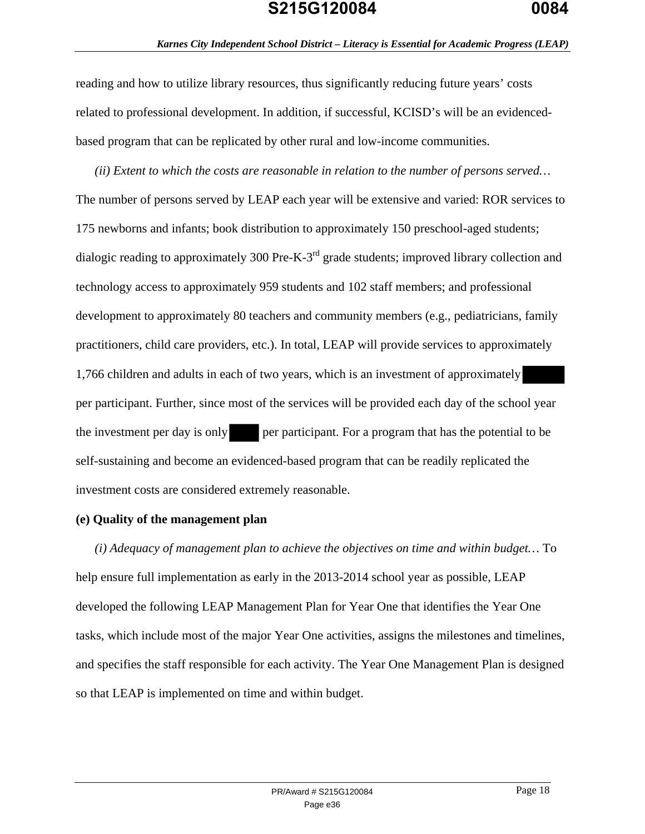reading and how to utilize library resources, thus significantly reducing future years' costs related to professional development. In addition, if successful, KCISD's will be an evidencedbased program that can be replicated by other rural and low-income communities.

*(ii) Extent to which the costs are reasonable in relation to the number of persons served…* The number of persons served by LEAP each year will be extensive and varied: ROR services to 175 newborns and infants; book distribution to approximately 150 preschool-aged students; dialogic reading to approximately 300 Pre-K-3<sup>rd</sup> grade students; improved library collection and technology access to approximately 959 students and 102 staff members; and professional development to approximately 80 teachers and community members (e.g., pediatricians, family practitioners, child care providers, etc.). In total, LEAP will provide services to approximately 1,766 children and adults in each of two years, which is an investment of approximately per participant. Further, since most of the services will be provided each day of the school year the investment per day is only per participant. For a program that has the potential to be self-sustaining and become an evidenced-based program that can be readily replicated the investment costs are considered extremely reasonable.

### **(e) Quality of the management plan**

*(i) Adequacy of management plan to achieve the objectives on time and within budget…* To help ensure full implementation as early in the 2013-2014 school year as possible, LEAP developed the following LEAP Management Plan for Year One that identifies the Year One tasks, which include most of the major Year One activities, assigns the milestones and timelines, and specifies the staff responsible for each activity. The Year One Management Plan is designed so that LEAP is implemented on time and within budget.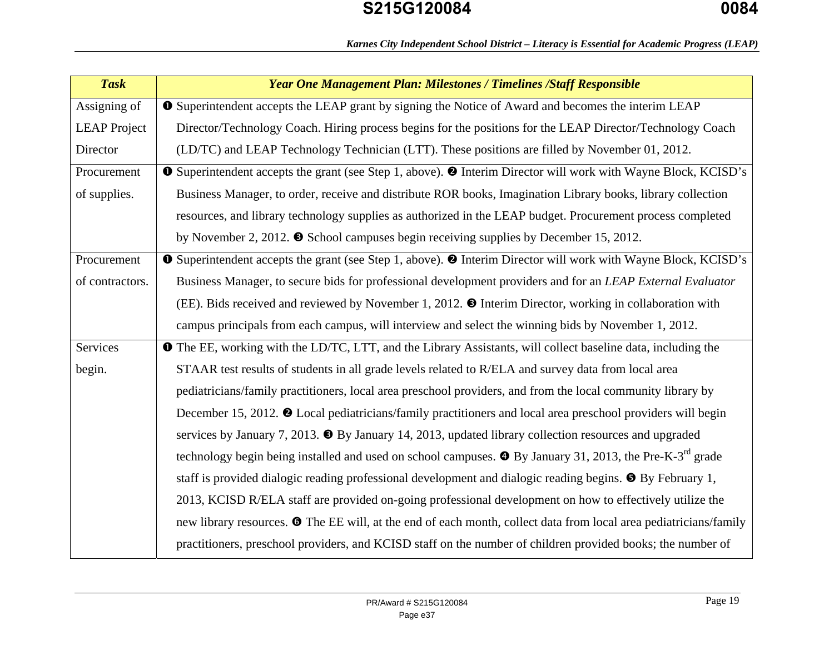| <b>Task</b>         | <b>Year One Management Plan: Milestones / Timelines /Staff Responsible</b>                                                              |
|---------------------|-----------------------------------------------------------------------------------------------------------------------------------------|
| Assigning of        | <b>O</b> Superintendent accepts the LEAP grant by signing the Notice of Award and becomes the interim LEAP                              |
| <b>LEAP</b> Project | Director/Technology Coach. Hiring process begins for the positions for the LEAP Director/Technology Coach                               |
| Director            | (LD/TC) and LEAP Technology Technician (LTT). These positions are filled by November 01, 2012.                                          |
| Procurement         | <b>O</b> Superintendent accepts the grant (see Step 1, above). <sup><b>@</b></sup> Interim Director will work with Wayne Block, KCISD's |
| of supplies.        | Business Manager, to order, receive and distribute ROR books, Imagination Library books, library collection                             |
|                     | resources, and library technology supplies as authorized in the LEAP budget. Procurement process completed                              |
|                     | by November 2, 2012. $\bullet$ School campuses begin receiving supplies by December 15, 2012.                                           |
| Procurement         | <b>O</b> Superintendent accepts the grant (see Step 1, above). <b>@</b> Interim Director will work with Wayne Block, KCISD's            |
| of contractors.     | Business Manager, to secure bids for professional development providers and for an LEAP External Evaluator                              |
|                     | (EE). Bids received and reviewed by November 1, 2012. <sup>O</sup> Interim Director, working in collaboration with                      |
|                     | campus principals from each campus, will interview and select the winning bids by November 1, 2012.                                     |
| Services            | <b>The EE</b> , working with the LD/TC, LTT, and the Library Assistants, will collect baseline data, including the                      |
| begin.              | STAAR test results of students in all grade levels related to R/ELA and survey data from local area                                     |
|                     | pediatricians/family practitioners, local area preschool providers, and from the local community library by                             |
|                     | December 15, 2012. <sup>O</sup> Local pediatricians/family practitioners and local area preschool providers will begin                  |
|                     | services by January 7, 2013. $\bullet$ By January 14, 2013, updated library collection resources and upgraded                           |
|                     | technology begin being installed and used on school campuses. $\bullet$ By January 31, 2013, the Pre-K-3 <sup>rd</sup> grade            |
|                     | staff is provided dialogic reading professional development and dialogic reading begins. $\bullet$ By February 1,                       |
|                     | 2013, KCISD R/ELA staff are provided on-going professional development on how to effectively utilize the                                |
|                     | new library resources. <b>O</b> The EE will, at the end of each month, collect data from local area pediatricians/family                |
|                     | practitioners, preschool providers, and KCISD staff on the number of children provided books; the number of                             |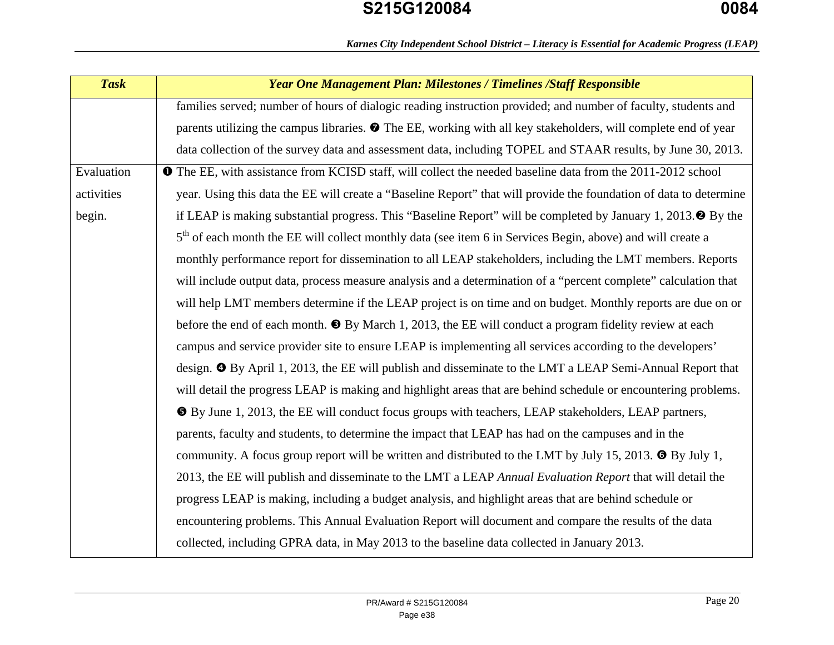|  |  | Karnes City Independent School District - Literacy is Essential for Academic Progress (LEAP) |  |  |  |
|--|--|----------------------------------------------------------------------------------------------|--|--|--|
|  |  |                                                                                              |  |  |  |

| <b>Task</b> | <b>Year One Management Plan: Milestones / Timelines / Staff Responsible</b>                                            |
|-------------|------------------------------------------------------------------------------------------------------------------------|
|             | families served; number of hours of dialogic reading instruction provided; and number of faculty, students and         |
|             | parents utilizing the campus libraries. $\bullet$ The EE, working with all key stakeholders, will complete end of year |
|             | data collection of the survey data and assessment data, including TOPEL and STAAR results, by June 30, 2013.           |
| Evaluation  | <b>The EE</b> , with assistance from KCISD staff, will collect the needed baseline data from the 2011-2012 school      |
| activities  | year. Using this data the EE will create a "Baseline Report" that will provide the foundation of data to determine     |
| begin.      | if LEAP is making substantial progress. This "Baseline Report" will be completed by January 1, 2013. $\bullet$ By the  |
|             | 5 <sup>th</sup> of each month the EE will collect monthly data (see item 6 in Services Begin, above) and will create a |
|             | monthly performance report for dissemination to all LEAP stakeholders, including the LMT members. Reports              |
|             | will include output data, process measure analysis and a determination of a "percent complete" calculation that        |
|             | will help LMT members determine if the LEAP project is on time and on budget. Monthly reports are due on or            |
|             | before the end of each month. $\bullet$ By March 1, 2013, the EE will conduct a program fidelity review at each        |
|             | campus and service provider site to ensure LEAP is implementing all services according to the developers'              |
|             | design. <sup>•</sup> By April 1, 2013, the EE will publish and disseminate to the LMT a LEAP Semi-Annual Report that   |
|             | will detail the progress LEAP is making and highlight areas that are behind schedule or encountering problems.         |
|             | <b>O</b> By June 1, 2013, the EE will conduct focus groups with teachers, LEAP stakeholders, LEAP partners,            |
|             | parents, faculty and students, to determine the impact that LEAP has had on the campuses and in the                    |
|             | community. A focus group report will be written and distributed to the LMT by July 15, 2013. $\bullet$ By July 1,      |
|             | 2013, the EE will publish and disseminate to the LMT a LEAP Annual Evaluation Report that will detail the              |
|             | progress LEAP is making, including a budget analysis, and highlight areas that are behind schedule or                  |
|             | encountering problems. This Annual Evaluation Report will document and compare the results of the data                 |
|             | collected, including GPRA data, in May 2013 to the baseline data collected in January 2013.                            |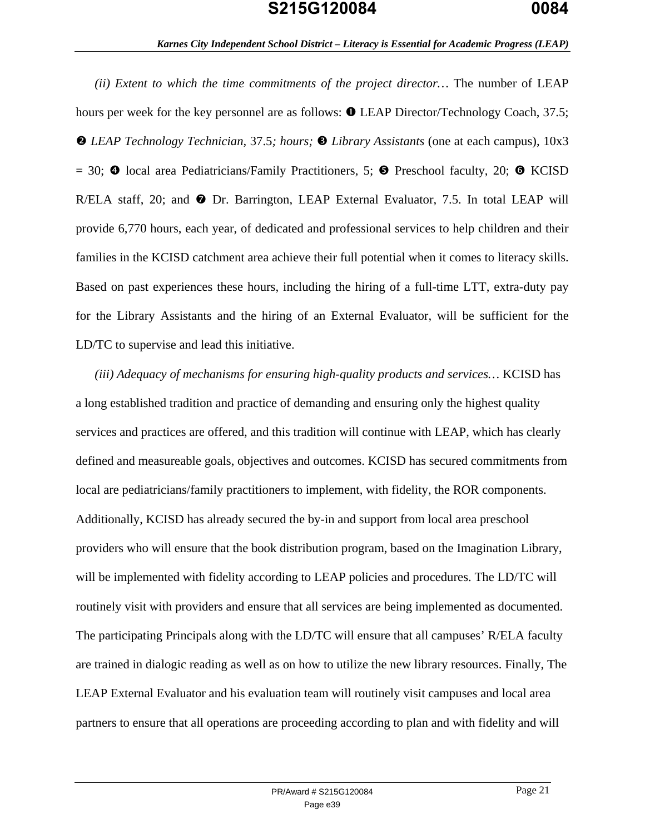*(ii) Extent to which the time commitments of the project director…* The number of LEAP hours per week for the key personnel are as follows:  $\bullet$  LEAP Director/Technology Coach, 37.5; *LEAP Technology Technician,* 37.5*; hours; Library Assistants* (one at each campus), 10x3 = 30;  $\bullet$  local area Pediatricians/Family Practitioners, 5;  $\bullet$  Preschool faculty, 20;  $\bullet$  KCISD R/ELA staff, 20; and  $\bullet$  Dr. Barrington, LEAP External Evaluator, 7.5. In total LEAP will provide 6,770 hours, each year, of dedicated and professional services to help children and their families in the KCISD catchment area achieve their full potential when it comes to literacy skills. Based on past experiences these hours, including the hiring of a full-time LTT, extra-duty pay for the Library Assistants and the hiring of an External Evaluator, will be sufficient for the LD/TC to supervise and lead this initiative.

*(iii) Adequacy of mechanisms for ensuring high-quality products and services…* KCISD has a long established tradition and practice of demanding and ensuring only the highest quality services and practices are offered, and this tradition will continue with LEAP, which has clearly defined and measureable goals, objectives and outcomes. KCISD has secured commitments from local are pediatricians/family practitioners to implement, with fidelity, the ROR components. Additionally, KCISD has already secured the by-in and support from local area preschool providers who will ensure that the book distribution program, based on the Imagination Library, will be implemented with fidelity according to LEAP policies and procedures. The LD/TC will routinely visit with providers and ensure that all services are being implemented as documented. The participating Principals along with the LD/TC will ensure that all campuses' R/ELA faculty are trained in dialogic reading as well as on how to utilize the new library resources. Finally, The LEAP External Evaluator and his evaluation team will routinely visit campuses and local area partners to ensure that all operations are proceeding according to plan and with fidelity and will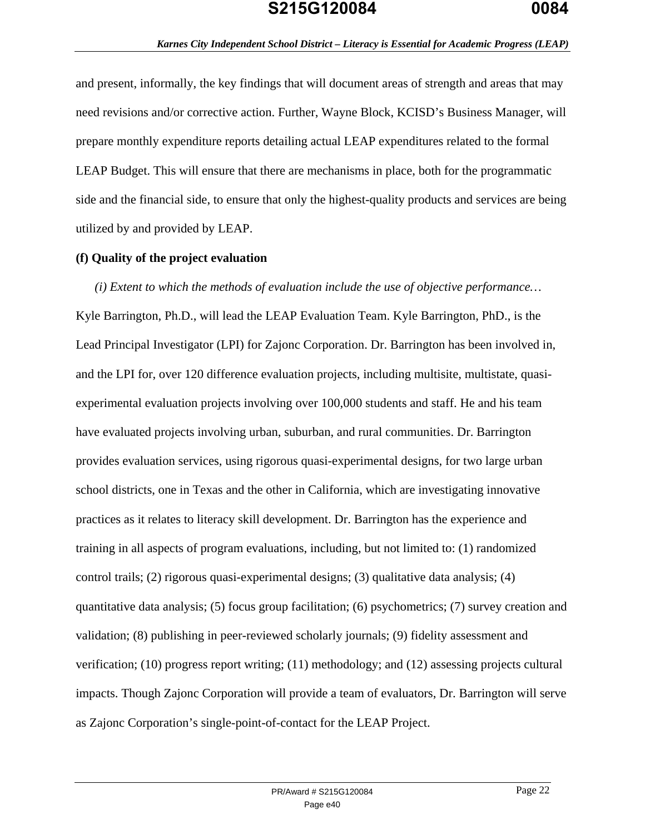and present, informally, the key findings that will document areas of strength and areas that may need revisions and/or corrective action. Further, Wayne Block, KCISD's Business Manager, will prepare monthly expenditure reports detailing actual LEAP expenditures related to the formal LEAP Budget. This will ensure that there are mechanisms in place, both for the programmatic side and the financial side, to ensure that only the highest-quality products and services are being utilized by and provided by LEAP.

#### **(f) Quality of the project evaluation**

*(i) Extent to which the methods of evaluation include the use of objective performance…*  Kyle Barrington, Ph.D., will lead the LEAP Evaluation Team. Kyle Barrington, PhD., is the Lead Principal Investigator (LPI) for Zajonc Corporation. Dr. Barrington has been involved in, and the LPI for, over 120 difference evaluation projects, including multisite, multistate, quasiexperimental evaluation projects involving over 100,000 students and staff. He and his team have evaluated projects involving urban, suburban, and rural communities. Dr. Barrington provides evaluation services, using rigorous quasi-experimental designs, for two large urban school districts, one in Texas and the other in California, which are investigating innovative practices as it relates to literacy skill development. Dr. Barrington has the experience and training in all aspects of program evaluations, including, but not limited to: (1) randomized control trails; (2) rigorous quasi-experimental designs; (3) qualitative data analysis; (4) quantitative data analysis; (5) focus group facilitation; (6) psychometrics; (7) survey creation and validation; (8) publishing in peer-reviewed scholarly journals; (9) fidelity assessment and verification; (10) progress report writing; (11) methodology; and (12) assessing projects cultural impacts. Though Zajonc Corporation will provide a team of evaluators, Dr. Barrington will serve as Zajonc Corporation's single-point-of-contact for the LEAP Project.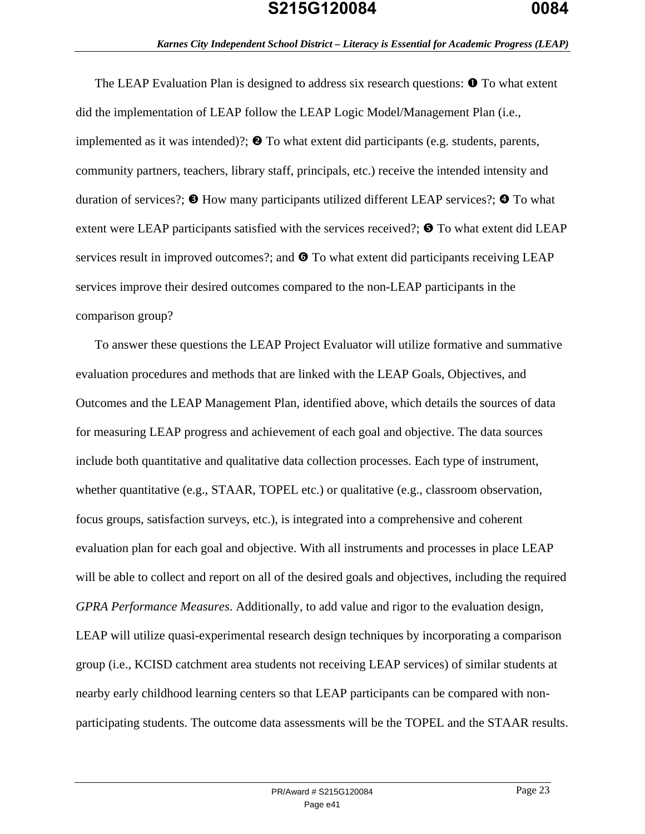The LEAP Evaluation Plan is designed to address six research questions:  $\bullet$  To what extent did the implementation of LEAP follow the LEAP Logic Model/Management Plan (i.e., implemented as it was intended)?;  $\bullet$  To what extent did participants (e.g. students, parents, community partners, teachers, library staff, principals, etc.) receive the intended intensity and duration of services?;  $\bullet$  How many participants utilized different LEAP services?;  $\bullet$  To what extent were LEAP participants satisfied with the services received?;  $\bullet$  To what extent did LEAP services result in improved outcomes?; and  $\bullet$  To what extent did participants receiving LEAP services improve their desired outcomes compared to the non-LEAP participants in the comparison group?

To answer these questions the LEAP Project Evaluator will utilize formative and summative evaluation procedures and methods that are linked with the LEAP Goals, Objectives, and Outcomes and the LEAP Management Plan, identified above, which details the sources of data for measuring LEAP progress and achievement of each goal and objective. The data sources include both quantitative and qualitative data collection processes. Each type of instrument, whether quantitative (e.g., STAAR, TOPEL etc.) or qualitative (e.g., classroom observation, focus groups, satisfaction surveys, etc.), is integrated into a comprehensive and coherent evaluation plan for each goal and objective. With all instruments and processes in place LEAP will be able to collect and report on all of the desired goals and objectives, including the required *GPRA Performance Measures*. Additionally, to add value and rigor to the evaluation design, LEAP will utilize quasi-experimental research design techniques by incorporating a comparison group (i.e., KCISD catchment area students not receiving LEAP services) of similar students at nearby early childhood learning centers so that LEAP participants can be compared with nonparticipating students. The outcome data assessments will be the TOPEL and the STAAR results.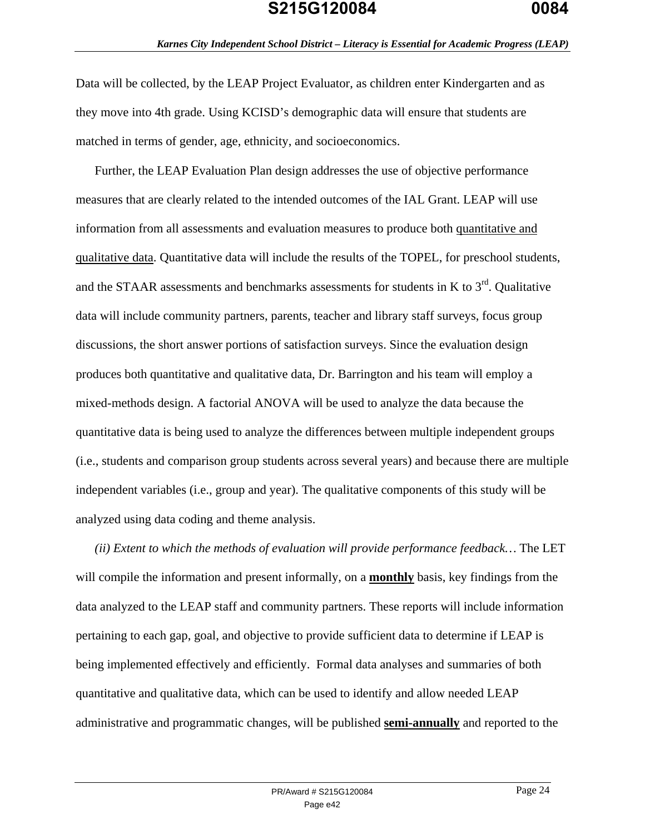Data will be collected, by the LEAP Project Evaluator, as children enter Kindergarten and as they move into 4th grade. Using KCISD's demographic data will ensure that students are matched in terms of gender, age, ethnicity, and socioeconomics.

Further, the LEAP Evaluation Plan design addresses the use of objective performance measures that are clearly related to the intended outcomes of the IAL Grant. LEAP will use information from all assessments and evaluation measures to produce both quantitative and qualitative data. Quantitative data will include the results of the TOPEL, for preschool students, and the STAAR assessments and benchmarks assessments for students in K to  $3<sup>rd</sup>$ . Qualitative data will include community partners, parents, teacher and library staff surveys, focus group discussions, the short answer portions of satisfaction surveys. Since the evaluation design produces both quantitative and qualitative data, Dr. Barrington and his team will employ a mixed-methods design. A factorial ANOVA will be used to analyze the data because the quantitative data is being used to analyze the differences between multiple independent groups (i.e., students and comparison group students across several years) and because there are multiple independent variables (i.e., group and year). The qualitative components of this study will be analyzed using data coding and theme analysis.

*(ii) Extent to which the methods of evaluation will provide performance feedback…* The LET will compile the information and present informally, on a **monthly** basis, key findings from the data analyzed to the LEAP staff and community partners. These reports will include information pertaining to each gap, goal, and objective to provide sufficient data to determine if LEAP is being implemented effectively and efficiently. Formal data analyses and summaries of both quantitative and qualitative data, which can be used to identify and allow needed LEAP administrative and programmatic changes, will be published **semi-annually** and reported to the